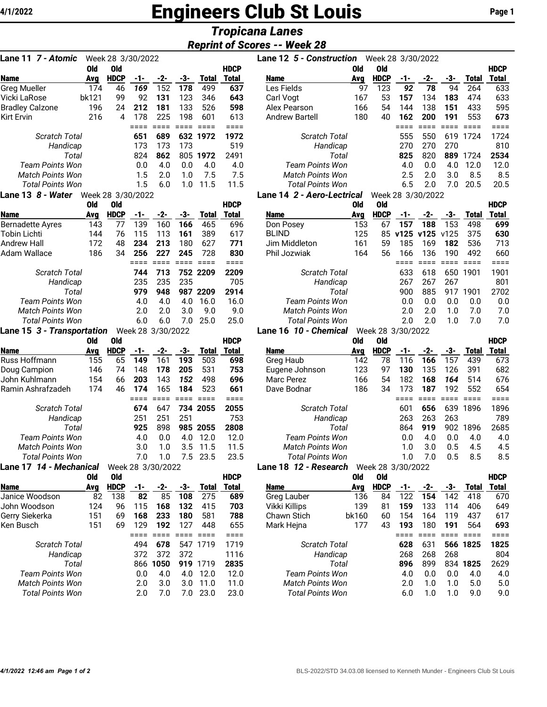# 4/1/2022 **Engineers Club St Louis** Page 1

## *Tropicana Lanes*

### *Reprint of Scores -- Week 28*

| Lane 11 7 - Atomic                                 |            | Week 28 3/30/2022 |               |                          |                        |               |              |  |  |  |
|----------------------------------------------------|------------|-------------------|---------------|--------------------------|------------------------|---------------|--------------|--|--|--|
|                                                    | <b>Old</b> | <b>Old</b>        |               |                          |                        |               | <b>HDCP</b>  |  |  |  |
| <b>Name</b>                                        | Avg        | <b>HDCP</b>       | -1-           | $-2-$                    | -3-                    | <b>Total</b>  | Total        |  |  |  |
| <b>Greg Mueller</b>                                | 174        | 46                | 169           | 152                      | 178                    | 499           | 637          |  |  |  |
| Vicki LaRose                                       | bk121      | 99                | 92            | 131                      | 123                    | 346           | 643          |  |  |  |
| <b>Bradley Calzone</b>                             | 196        | 24                | 212           | 181                      | 133                    | 526           | 598          |  |  |  |
| <b>Kirt Ervin</b>                                  | 216        | 4                 | 178<br>$====$ | 225<br>$=$ $=$ $=$ $=$   | 198                    | 601           | 613          |  |  |  |
| <b>Scratch Total</b>                               |            |                   | 651           | 689                      | $=$ $=$ $=$ $=$<br>632 | $===$<br>1972 | ====<br>1972 |  |  |  |
| Handicap                                           |            |                   | 173           | 173                      | 173                    |               | 519          |  |  |  |
| Total                                              |            |                   | 824           | 862                      | 805                    | 1972          | 2491         |  |  |  |
| <b>Team Points Won</b>                             |            |                   | 0.0           | 4.0                      | 0.0                    | 4.0           | 4.0          |  |  |  |
| <b>Match Points Won</b>                            |            |                   | 1.5           | 2.0                      | 1.0                    | 7.5           | 7.5          |  |  |  |
| <b>Total Points Won</b>                            |            |                   | 1.5           | 6.0                      | 1.0                    | 11.5          | 11.5         |  |  |  |
| Lane 13 8 - Water                                  |            | Week 28 3/30/2022 |               |                          |                        |               |              |  |  |  |
|                                                    | <b>Old</b> | Old               |               |                          |                        |               | <b>HDCP</b>  |  |  |  |
| <b>Name</b>                                        | Avg        | <b>HDCP</b>       | -1-           | -2-                      | -3-                    | Total         | Total        |  |  |  |
| <b>Bernadette Ayres</b>                            | 143        | 77                | 139           | 160                      | 166                    | 465           | 696          |  |  |  |
| <b>Tobin Lichti</b>                                | 144        | 76                | 115           | 113                      | 161                    | 389           | 617          |  |  |  |
| <b>Andrew Hall</b>                                 | 172        | 48                | 234           | 213                      | 180                    | 627           | 771          |  |  |  |
| Adam Wallace                                       | 186        | 34                | 256           | 227                      | 245                    | 728           | 830          |  |  |  |
| <b>Scratch Total</b>                               |            |                   | $====$<br>744 | $=$ $=$ $=$ $=$<br>713   | $====$<br>752          | $===$<br>2209 | ====<br>2209 |  |  |  |
| Handicap                                           |            |                   | 235           | 235                      | 235                    |               | 705          |  |  |  |
| Total                                              |            |                   | 979           | 948                      |                        | 987 2209      | 2914         |  |  |  |
| <b>Team Points Won</b>                             |            |                   | 4.0           | 4.0                      | 4.0                    | 16.0          | 16.0         |  |  |  |
| <b>Match Points Won</b>                            |            |                   | 2.0           | 2.0                      | 3.0                    | 9.0           | 9.0          |  |  |  |
| <b>Total Points Won</b>                            |            |                   | 6.0           | 6.0                      | 7.0                    | 25.0          | 25.0         |  |  |  |
| Lane 15 3 - Transportation                         |            |                   |               | Week 28 3/30/2022        |                        |               |              |  |  |  |
|                                                    | Old        | Old               |               |                          |                        |               | <b>HDCP</b>  |  |  |  |
| <b>Name</b>                                        | Avg        | <b>HDCP</b>       | -1-           | -2-                      | -3-                    | <b>Total</b>  | <b>Total</b> |  |  |  |
| Russ Hoffmann                                      | 155        | 65                | 149           | 161                      | 193                    | 503           | 698          |  |  |  |
| Doug Campion                                       | 146        | 74                | 148           | 178                      | 205                    | 531           | 753          |  |  |  |
| John Kuhlmann                                      | 154        | 66                | 203           | 143                      | 152                    | 498           | 696          |  |  |  |
| Ramin Ashrafzadeh                                  | 174        | 46                | 174           | 165                      | 184                    | 523           | 661          |  |  |  |
|                                                    |            |                   | $====$        | $====$                   | $====$                 | $===$         | ====         |  |  |  |
| <b>Scratch Total</b>                               |            |                   | 674           | 647                      | 734                    | 2055          | 2055         |  |  |  |
| Handicap                                           |            |                   | 251           | 251                      | 251                    |               | 753          |  |  |  |
| Total                                              |            |                   | 925           | 898                      | 985                    | 2055          | 2808         |  |  |  |
| <b>Team Points Won</b>                             |            |                   | 4.0           | 0.0                      | 4.0                    | 12.0          | 12.0         |  |  |  |
| <b>Match Points Won</b>                            |            |                   | 3.0           | 1.0                      | 3.5                    | 11.5          | 11.5         |  |  |  |
| <b>Total Points Won</b><br>Lane 17 14 - Mechanical |            |                   | 7.0           | 1.0<br>Week 28 3/30/2022 | 7.5                    | 23.5          | 23.5         |  |  |  |
|                                                    | <b>Old</b> | Old               |               |                          |                        |               | <b>HDCP</b>  |  |  |  |
| <b>Name</b>                                        | Avg        | <b>HDCP</b>       | -1-           | $-2$                     | $-3-$                  | <b>Total</b>  | Total        |  |  |  |
| Janice Woodson                                     | 82         | 138               | 82            | 85                       | 108                    | 275           | 689          |  |  |  |
| John Woodson                                       | 124        | 96                | 115           | 168                      | 132                    | 415           | 703          |  |  |  |
| Gerry Siekerka                                     | 151        | 69                | 168           | 233                      | 180                    | 581           | 788          |  |  |  |
| Ken Busch                                          | 151        | 69                | 129           | 192                      | 127                    | 448           | 655          |  |  |  |
|                                                    |            |                   | $====$        | ====                     | $====$                 | ====          | ====         |  |  |  |
| <b>Scratch Total</b>                               |            |                   | 494           | 678                      | 547                    | 1719          | 1719         |  |  |  |
| Handicap                                           |            |                   | 372           | 372                      | 372                    |               | 1116         |  |  |  |
| Total                                              |            |                   | 866           | 1050                     | 919                    | 1719          | 2835         |  |  |  |
| <b>Team Points Won</b>                             |            |                   | 0.0           | 4.0                      | 4.0                    | 12.0          | 12.0         |  |  |  |
| <b>Match Points Won</b>                            |            |                   | 2.0           | 3.0                      | 3.0                    | 11.0          | 11.0         |  |  |  |
| <b>Total Points Won</b>                            |            |                   | 2.0           | 7.0                      | 7.0                    | 23.0          | 23.0         |  |  |  |

| 715971111 VI UUUI UU<br>,, , ,, , <u>,</u> ,                       |       |                   |     |     |     |       |              |                            |      |                   |     |     |     |       |              |
|--------------------------------------------------------------------|-------|-------------------|-----|-----|-----|-------|--------------|----------------------------|------|-------------------|-----|-----|-----|-------|--------------|
| Lane 12 5 - Construction<br>Week 28 3/30/2022<br>Week 28 3/30/2022 |       |                   |     |     |     |       |              |                            |      |                   |     |     |     |       |              |
|                                                                    | 0ld   | 0ld               |     |     |     |       | <b>HDCP</b>  |                            | 0ld  | 0ld               |     |     |     |       | <b>HDCP</b>  |
| <b>Name</b>                                                        | Ava   | <b>HDCP</b>       | -1- | -2- | -3- | Total | Total        | <b>Name</b>                | Ava  | <b>HDCP</b>       | -1- | -2- | -3- | Total | Total        |
| Greg Mueller                                                       | 174   | 46                | 169 | 152 | 178 | 499   | 637          | Les Fields                 | 97   | 123               | 92  | 78  | 94  | 264   | 633          |
| Vicki LaRose                                                       | bk121 | 99                | 92  | 131 | 123 | 346   | 643          | Carl Vogt                  | 167  | 53                | 157 | 134 | 183 | 474   | 633          |
| <b>Bradley Calzone</b>                                             | 196   | 24                | 212 | 181 | 133 | 526   | 598          | Alex Pearson               | 166  | 54                | 144 | 138 | 151 | 433   | 595          |
| Kirt Ervin                                                         | 216   | 4                 | 178 | 225 | 198 | 601   | 613          | <b>Andrew Bartell</b>      | 180  | 40                | 162 | 200 | 191 | 553   | 673          |
|                                                                    |       |                   |     |     |     |       |              |                            |      |                   |     |     |     |       |              |
| <b>Scratch Total</b>                                               |       |                   | 651 | 689 | 632 | 1972  | 1972         | <b>Scratch Total</b>       |      |                   | 555 | 550 | 619 | 1724  | 1724         |
| Handicap                                                           |       |                   | 173 | 173 | 173 |       | 519          | Handicap                   |      |                   | 270 | 270 | 270 |       | 810          |
| Total                                                              |       |                   | 824 | 862 | 805 | 1972  | 2491         | Total                      |      |                   | 825 | 820 | 889 | 1724  | 2534         |
| <b>Team Points Won</b>                                             |       |                   | 0.0 | 4.0 | 0.0 | 4.0   | 4.0          | <b>Team Points Won</b>     |      |                   | 4.0 | 0.0 | 4.0 | 12.0  | 12.0         |
| <b>Match Points Won</b>                                            |       |                   | 1.5 | 2.0 | 1.0 | 7.5   | 7.5          | <b>Match Points Won</b>    |      |                   | 2.5 | 2.0 | 3.0 | 8.5   | 8.5          |
| <b>Total Points Won</b>                                            |       |                   | 1.5 | 6.0 | 1.0 | 11.5  | 11.5         | <b>Total Points Won</b>    |      |                   | 6.5 | 2.0 | 7.0 | 20.5  | 20.5         |
| Lane 13 <i>8 - Water</i>                                           |       | Week 28 3/30/2022 |     |     |     |       |              | Lane 14 2 - Aero-Lectrical |      | Week 28 3/30/2022 |     |     |     |       |              |
|                                                                    | AL.   | <b>АН</b>         |     |     |     |       | <b>IIDAD</b> |                            | ALL. | <b>ALL</b>        |     |     |     |       | <b>IIDAD</b> |

|                         | Old | 0ld         |     |     |     |              | <b>HDCP</b>  |                         | 0ld | 0ld         |     |           |      |              | <b>HDCP</b>  |
|-------------------------|-----|-------------|-----|-----|-----|--------------|--------------|-------------------------|-----|-------------|-----|-----------|------|--------------|--------------|
| Name                    | Ava | <b>HDCP</b> | -1- | -2- | -3- | <b>Total</b> | <b>Total</b> | <b>Name</b>             | Ava | <b>HDCP</b> | -1- | -2-       | -3-  | <b>Total</b> | <b>Total</b> |
| Bernadette Ayres        | 143 | 77          | 139 | 160 | 166 | 465          | 696          | Don Posey               | 153 | 67          | 157 | 188       | 153  | 498          | 699          |
| Tobin Lichti            | 144 | 76          | 115 | 113 | 161 | 389          | 617          | <b>BLIND</b>            | 125 | 85          |     | v125 v125 | v125 | 375          | 630          |
| Andrew Hall             | 172 | 48          | 234 | 213 | 180 | 627          | 771          | Jim Middleton           | 161 | 59          | 185 | 169       | 182  | 536          | 713          |
| Adam Wallace            | 186 | 34          | 256 | 227 | 245 | 728          | 830          | Phil Jozwiak            | 164 | 56          | 166 | 136       | 190  | 492          | 660          |
|                         |     |             |     |     |     |              |              |                         |     |             |     |           |      |              |              |
| <b>Scratch Total</b>    |     |             | 744 | 713 |     | 752 2209     | 2209         | <b>Scratch Total</b>    |     |             | 633 | 618       | 650  | 1901         | 1901         |
| Handicap                |     |             | 235 | 235 | 235 |              | 705          | Handicap                |     |             | 267 | 267       | 267  |              | 801          |
| Total                   |     |             | 979 | 948 | 987 | 2209         | 2914         | Total                   |     |             | 900 | 885       | 917  | 1901         | 2702         |
| Team Points Won         |     |             | 4.0 | 4.0 | 4.0 | 16.0         | 16.0         | Team Points Won         |     |             | 0.0 | 0.0       | 0.0  | 0.0          | 0.0          |
| <b>Match Points Won</b> |     |             | 2.0 | 2.0 | 3.0 | 9.0          | 9.0          | <b>Match Points Won</b> |     |             | 2.0 | 2.0       | 1.0  | 7.0          | 7.0          |
| <b>Total Points Won</b> |     |             | 6.0 | 6.0 | 7 በ | 25.0         | 25.0         | Total Points Won        |     |             | 2.0 | 2.0       | 1.0  | 7.0          | 7.0          |
|                         |     |             |     |     |     |              |              |                         |     |             |     |           |      |              |              |

#### Lane 16 *10 - Chemical* Week 28 3/30/2022

|                         | 0ld        | 0ld         |     |                   |     |              | <b>HDCP</b>  |                         | 0ld        | Old               |     |     |     |              | <b>HDCP</b> |
|-------------------------|------------|-------------|-----|-------------------|-----|--------------|--------------|-------------------------|------------|-------------------|-----|-----|-----|--------------|-------------|
| <b>Name</b>             | Ava        | <b>HDCP</b> | -1- | -2-               | -3- | Total        | <b>Total</b> | <b>Name</b>             | Avg        | <b>HDCP</b>       | -1- | -2- | -3- | <b>Total</b> | Total       |
| Russ Hoffmann           | 155        | 65          | 149 | 161               | 193 | 503          | 698          | Greg Haub               | 142        | 78                | 116 | 166 | 157 | 439          | 673         |
| Doug Campion            | 146        | 74          | 148 | 178               | 205 | 531          | 753          | Eugene Johnson          | 123        | 97                | 130 | 135 | 126 | 391          | 682         |
| John Kuhlmann           | 154        | 66          | 203 | 143               | 152 | 498          | 696          | Marc Perez              | 166        | 54                | 182 | 168 | 164 | 514          | 676         |
| Ramin Ashrafzadeh       | 174        | 46          | 174 | 165               | 184 | 523          | 661          | Dave Bodnar             | 186        | 34                | 173 | 187 | 192 | 552          | 654         |
|                         |            |             |     |                   |     |              |              |                         |            |                   |     |     |     |              | ====        |
| <b>Scratch Total</b>    |            |             | 674 | 647               |     | 734 2055     | 2055         | <b>Scratch Total</b>    |            |                   | 601 | 656 | 639 | 1896         | 1896        |
| Handicap                |            |             | 251 | 251               | 251 |              | 753          | Handicap                | 263        | 263               | 263 |     | 789 |              |             |
| Total                   |            |             | 925 | 898               | 985 | 2055         | 2808         | Total                   |            |                   | 864 | 919 | 902 | 1896         | 2685        |
| Team Points Won         |            |             | 4.0 | 0.0               | 4.0 | 12.0         | 12.0         | Team Points Won         |            |                   | 0.0 | 4.0 | 0.0 | 4.0          | 4.0         |
| <b>Match Points Won</b> |            |             | 3.0 | 1.0               | 3.5 | 11.5         | 11.5         | <b>Match Points Won</b> |            |                   | 1.0 | 3.0 | 0.5 | 4.5          | 4.5         |
| <b>Total Points Won</b> |            |             | 7.0 | 1.0               | 7.5 | 23.5         | 23.5         | <b>Total Points Won</b> |            | 1.0               | 7.0 | 0.5 | 8.5 | 8.5          |             |
| Lane 17 14 - Mechanical |            |             |     | Week 28 3/30/2022 |     |              |              | Lane 18 12 - Research   |            | Week 28 3/30/2022 |     |     |     |              |             |
|                         | <b>Old</b> | <b>Old</b>  |     |                   |     |              | <b>HDCP</b>  |                         | <b>Old</b> | Old               |     |     |     |              | <b>HDCP</b> |
| <b>Name</b>             | Avg        | <b>HDCP</b> | -1- | $-2-$             | -3- | <b>Total</b> | <b>Total</b> | <b>Name</b>             | Avg        | <b>HDCP</b>       | -1- | -2- | -3- | <b>Total</b> | Total       |
| Janice Woodson          | 82         | 138         | 82  | 85                | 108 | 275          | 689          | Greg Lauber             | 136        | 84                | 122 | 154 | 142 | 418          | 670         |
| John Woodson            | 124        | 96          | 115 | 168               | 132 | 415          | 703          | Vikki Killips           | 139        | 81                | 159 | 133 | 114 | 406          | 649         |
| Gerry Siekerka          | 151        | 69          | 168 | 233               | 180 | 581          | 788          | Chawn Stich             | bk160      | 60                | 154 | 164 | 119 | 437          | 617         |
| Ken Busch               | 151        | 69          | 129 | 192               | 127 | 448          | 655          | Mark Hejna              | 177        | 43                | 193 | 180 | 191 | 564          | 693         |
|                         |            |             |     |                   |     |              | ====         |                         |            |                   |     |     |     |              | ====        |
| <b>Scratch Total</b>    |            |             | 494 | 678               | 547 | 1719         | 1719         | <b>Scratch Total</b>    |            |                   | 628 | 631 | 566 | 1825         | 1825        |
| Handicap                |            |             | 372 | 372               | 372 |              | 1116         | Handicap                |            |                   | 268 | 268 | 268 |              | 804         |
| Total                   |            |             | 866 | 1050              | 919 | 1719         | 2835         | Total                   |            |                   | 896 | 899 | 834 | 1825         | 2629        |
| <b>Team Points Won</b>  |            |             | 0.0 | 4.0               | 4.0 | 12.0         | 12.0         | <b>Team Points Won</b>  |            |                   | 4.0 | 0.0 | 0.0 | 4.0          | 4.0         |
| <b>Match Points Won</b> |            |             | 2.0 | 3.0               | 3.0 | 11.0         | 11.0         | <b>Match Points Won</b> |            |                   | 2.0 | 1.0 | 1.0 | 5.0          | 5.0         |
| <b>Total Points Won</b> |            |             | 2.0 | 7.0               | 7.0 | 23.0         | 23.0         | <b>Total Points Won</b> |            |                   | 6.0 | 1.0 | 1.0 | 9.0          | 9.0         |